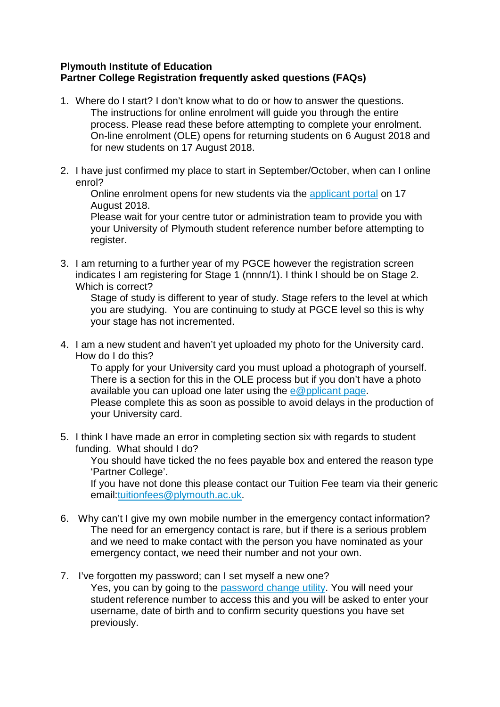## **Plymouth Institute of Education Partner College Registration frequently asked questions (FAQs)**

- 1. Where do I start? I don't know what to do or how to answer the questions. The instructions for online enrolment will guide you through the entire process. Please read these before attempting to complete your enrolment. On-line enrolment (OLE) opens for returning students on 6 August 2018 and for new students on 17 August 2018.
- 2. I have just confirmed my place to start in September/October, when can I online enrol?

Online enrolment opens for new students via the [applicant portal](https://eservices.plymouth.ac.uk/app/) on 17 August 2018.

Please wait for your centre tutor or administration team to provide you with your University of Plymouth student reference number before attempting to register.

3. I am returning to a further year of my PGCE however the registration screen indicates I am registering for Stage 1 (nnnn/1). I think I should be on Stage 2. Which is correct?

Stage of study is different to year of study. Stage refers to the level at which you are studying. You are continuing to study at PGCE level so this is why your stage has not incremented.

4. I am a new student and haven't yet uploaded my photo for the University card. How do I do this?

To apply for your University card you must upload a photograph of yourself. There is a section for this in the OLE process but if you don't have a photo available you can upload one later using the [e@pplicant page.](https://eservices.plymouth.ac.uk/app/) Please complete this as soon as possible to avoid delays in the production of your University card.

5. I think I have made an error in completing section six with regards to student funding. What should I do?

You should have ticked the no fees payable box and entered the reason type 'Partner College'.

If you have not done this please contact our Tuition Fee team via their generic email[:tuitionfees@plymouth.ac.uk.](mailto:tuitionfees@plymouth.ac.uk)

6. Why can't I give my own mobile number in the emergency contact information? The need for an emergency contact is rare, but if there is a serious problem and we need to make contact with the person you have nominated as your emergency contact, we need their number and not your own.

## 7. I've forgotten my password; can I set myself a new one?

Yes, you can by going to the [password change utility.](https://ict-webtools.plymouth.ac.uk/extpwd/default.aspx) You will need your student reference number to access this and you will be asked to enter your username, date of birth and to confirm security questions you have set previously.